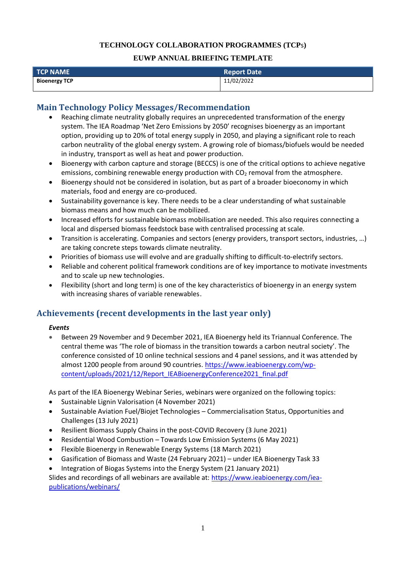### **TECHNOLOGY COLLABORATION PROGRAMMES (TCP**s**)**

#### **EUWP ANNUAL BRIEFING TEMPLATE**

| $\overline{\phantom{a}}$ TCP NAME $\overline{\phantom{a}}$ | Report Date |  |
|------------------------------------------------------------|-------------|--|
| <b>Bioenergy TCP</b>                                       | 11/02/2022  |  |

### **Main Technology Policy Messages/Recommendation**

- Reaching climate neutrality globally requires an unprecedented transformation of the energy system. The IEA Roadmap 'Net Zero Emissions by 2050' recognises bioenergy as an important option, providing up to 20% of total energy supply in 2050, and playing a significant role to reach carbon neutrality of the global energy system. A growing role of biomass/biofuels would be needed in industry, transport as well as heat and power production.
- Bioenergy with carbon capture and storage (BECCS) is one of the critical options to achieve negative emissions, combining renewable energy production with  $CO<sub>2</sub>$  removal from the atmosphere.
- Bioenergy should not be considered in isolation, but as part of a broader bioeconomy in which materials, food and energy are co-produced.
- Sustainability governance is key. There needs to be a clear understanding of what sustainable biomass means and how much can be mobilized.
- Increased efforts for sustainable biomass mobilisation are needed. This also requires connecting a local and dispersed biomass feedstock base with centralised processing at scale.
- Transition is accelerating. Companies and sectors (energy providers, transport sectors, industries, …) are taking concrete steps towards climate neutrality.
- Priorities of biomass use will evolve and are gradually shifting to difficult-to-electrify sectors.
- Reliable and coherent political framework conditions are of key importance to motivate investments and to scale up new technologies.
- Flexibility (short and long term) is one of the key characteristics of bioenergy in an energy system with increasing shares of variable renewables.

## **Achievements (recent developments in the last year only)**

#### *Events*

• Between 29 November and 9 December 2021, IEA Bioenergy held its Triannual Conference. The central theme was 'The role of biomass in the transition towards a carbon neutral society'. The conference consisted of 10 online technical sessions and 4 panel sessions, and it was attended by almost 1200 people from around 90 countries. [https://www.ieabioenergy.com/wp](https://www.ieabioenergy.com/wp-content/uploads/2021/12/Report_IEABioenergyConference2021_final.pdf)[content/uploads/2021/12/Report\\_IEABioenergyConference2021\\_final.pdf](https://www.ieabioenergy.com/wp-content/uploads/2021/12/Report_IEABioenergyConference2021_final.pdf)

As part of the IEA Bioenergy Webinar Series, webinars were organized on the following topics:

- Sustainable Lignin Valorisation (4 November 2021)
- Sustainable Aviation Fuel/Biojet Technologies Commercialisation Status, Opportunities and Challenges (13 July 2021)
- Resilient Biomass Supply Chains in the post-COVID Recovery (3 June 2021)
- Residential Wood Combustion Towards Low Emission Systems (6 May 2021)
- Flexible Bioenergy in Renewable Energy Systems (18 March 2021)
- Gasification of Biomass and Waste (24 February 2021) under IEA Bioenergy Task 33
- Integration of Biogas Systems into the Energy System (21 January 2021)

Slides and recordings of all webinars are available at: [https://www.ieabioenergy.com/iea](https://www.ieabioenergy.com/iea-publications/webinars/)[publications/webinars/](https://www.ieabioenergy.com/iea-publications/webinars/)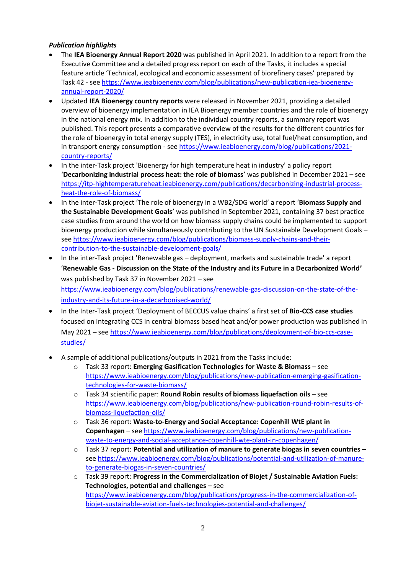### *Publication highlights*

- The **IEA Bioenergy Annual Report 2020** was published in April 2021. In addition to a report from the Executive Committee and a detailed progress report on each of the Tasks, it includes a special feature article 'Technical, ecological and economic assessment of biorefinery cases' prepared by Task 42 - see [https://www.ieabioenergy.com/blog/publications/new-publication-iea-bioenergy](https://www.ieabioenergy.com/blog/publications/new-publication-iea-bioenergy-annual-report-2020/)[annual-report-2020/](https://www.ieabioenergy.com/blog/publications/new-publication-iea-bioenergy-annual-report-2020/)
- Updated **IEA Bioenergy country reports** were released in November 2021, providing a detailed overview of bioenergy implementation in IEA Bioenergy member countries and the role of bioenergy in the national energy mix. In addition to the individual country reports, a summary report was published. This report presents a comparative overview of the results for the different countries for the role of bioenergy in total energy supply (TES), in electricity use, total fuel/heat consumption, and in transport energy consumption - see [https://www.ieabioenergy.com/blog/publications/2021](https://www.ieabioenergy.com/blog/publications/2021-country-reports/) [country-reports/](https://www.ieabioenergy.com/blog/publications/2021-country-reports/)
- In the inter-Task project 'Bioenergy for high temperature heat in industry' a policy report '**Decarbonizing industrial process heat: the role of biomass**' was published in December 2021 – see [https://itp-hightemperatureheat.ieabioenergy.com/publications/decarbonizing-industrial-process](https://itp-hightemperatureheat.ieabioenergy.com/publications/decarbonizing-industrial-process-heat-the-role-of-biomass/)[heat-the-role-of-biomass/](https://itp-hightemperatureheat.ieabioenergy.com/publications/decarbonizing-industrial-process-heat-the-role-of-biomass/)
- In the inter-Task project 'The role of bioenergy in a WB2/SDG world' a report '**Biomass Supply and the Sustainable Development Goals**' was published in September 2021, containing 37 best practice case studies from around the world on how biomass supply chains could be implemented to support bioenergy production while simultaneously contributing to the UN Sustainable Development Goals – se[e https://www.ieabioenergy.com/blog/publications/biomass-supply-chains-and-their](https://www.ieabioenergy.com/blog/publications/biomass-supply-chains-and-their-contribution-to-the-sustainable-development-goals/)[contribution-to-the-sustainable-development-goals/](https://www.ieabioenergy.com/blog/publications/biomass-supply-chains-and-their-contribution-to-the-sustainable-development-goals/)
- In the inter-Task project 'Renewable gas deployment, markets and sustainable trade' a report '**Renewable Gas - Discussion on the State of the Industry and its Future in a Decarbonized World'** was published by Task 37 in November 2021 – see [https://www.ieabioenergy.com/blog/publications/renewable-gas-discussion-on-the-state-of-the](https://www.ieabioenergy.com/blog/publications/renewable-gas-discussion-on-the-state-of-the-industry-and-its-future-in-a-decarbonised-world/)[industry-and-its-future-in-a-decarbonised-world/](https://www.ieabioenergy.com/blog/publications/renewable-gas-discussion-on-the-state-of-the-industry-and-its-future-in-a-decarbonised-world/)
- In the Inter-Task project 'Deployment of BECCUS value chains' a first set of **Bio-CCS case studies** focused on integrating CCS in central biomass based heat and/or power production was published in May 2021 – see [https://www.ieabioenergy.com/blog/publications/deployment-of-bio-ccs-case](https://www.ieabioenergy.com/blog/publications/deployment-of-bio-ccs-case-studies/)[studies/](https://www.ieabioenergy.com/blog/publications/deployment-of-bio-ccs-case-studies/)
- A sample of additional publications/outputs in 2021 from the Tasks include:
	- o Task 33 report: **Emerging Gasification Technologies for Waste & Biomass** see [https://www.ieabioenergy.com/blog/publications/new-publication-emerging-gasification](https://www.ieabioenergy.com/blog/publications/new-publication-emerging-gasification-technologies-for-waste-biomass/)[technologies-for-waste-biomass/](https://www.ieabioenergy.com/blog/publications/new-publication-emerging-gasification-technologies-for-waste-biomass/)
	- o Task 34 scientific paper: **Round Robin results of biomass liquefaction oils** see [https://www.ieabioenergy.com/blog/publications/new-publication-round-robin-results-of](https://www.ieabioenergy.com/blog/publications/new-publication-round-robin-results-of-biomass-liquefaction-oils/)[biomass-liquefaction-oils/](https://www.ieabioenergy.com/blog/publications/new-publication-round-robin-results-of-biomass-liquefaction-oils/)
	- o Task 36 report: **Waste-to-Energy and Social Acceptance: Copenhill WtE plant in Copenhagen** – see [https://www.ieabioenergy.com/blog/publications/new-publication](https://www.ieabioenergy.com/blog/publications/new-publication-waste-to-energy-and-social-acceptance-copenhill-wte-plant-in-copenhagen/)[waste-to-energy-and-social-acceptance-copenhill-wte-plant-in-copenhagen/](https://www.ieabioenergy.com/blog/publications/new-publication-waste-to-energy-and-social-acceptance-copenhill-wte-plant-in-copenhagen/)
	- o Task 37 report: **Potential and utilization of manure to generate biogas in seven countries** se[e https://www.ieabioenergy.com/blog/publications/potential-and-utilization-of-manure](https://www.ieabioenergy.com/blog/publications/potential-and-utilization-of-manure-to-generate-biogas-in-seven-countries/)[to-generate-biogas-in-seven-countries/](https://www.ieabioenergy.com/blog/publications/potential-and-utilization-of-manure-to-generate-biogas-in-seven-countries/)
	- o Task 39 report: **Progress in the Commercialization of Biojet / Sustainable Aviation Fuels: Technologies, potential and challenges** – see [https://www.ieabioenergy.com/blog/publications/progress-in-the-commercialization-of](https://www.ieabioenergy.com/blog/publications/progress-in-the-commercialization-of-biojet-sustainable-aviation-fuels-technologies-potential-and-challenges/)[biojet-sustainable-aviation-fuels-technologies-potential-and-challenges/](https://www.ieabioenergy.com/blog/publications/progress-in-the-commercialization-of-biojet-sustainable-aviation-fuels-technologies-potential-and-challenges/)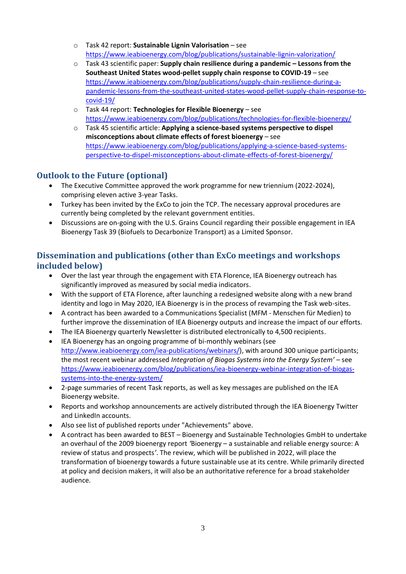- o Task 42 report: **Sustainable Lignin Valorisation** see <https://www.ieabioenergy.com/blog/publications/sustainable-lignin-valorization/>
- o Task 43 scientific paper: **Supply chain resilience during a pandemic – Lessons from the Southeast United States wood-pellet supply chain response to COVID-19** – see [https://www.ieabioenergy.com/blog/publications/supply-chain-resilience-during-a](https://www.ieabioenergy.com/blog/publications/supply-chain-resilience-during-a-pandemic-lessons-from-the-southeast-united-states-wood-pellet-supply-chain-response-to-covid-19/)[pandemic-lessons-from-the-southeast-united-states-wood-pellet-supply-chain-response-to](https://www.ieabioenergy.com/blog/publications/supply-chain-resilience-during-a-pandemic-lessons-from-the-southeast-united-states-wood-pellet-supply-chain-response-to-covid-19/)[covid-19/](https://www.ieabioenergy.com/blog/publications/supply-chain-resilience-during-a-pandemic-lessons-from-the-southeast-united-states-wood-pellet-supply-chain-response-to-covid-19/)
- o Task 44 report: **Technologies for Flexible Bioenergy** see <https://www.ieabioenergy.com/blog/publications/technologies-for-flexible-bioenergy/>
- o Task 45 scientific article: **Applying a science-based systems perspective to dispel misconceptions about climate effects of forest bioenergy** – see [https://www.ieabioenergy.com/blog/publications/applying-a-science-based-systems](https://www.ieabioenergy.com/blog/publications/applying-a-science-based-systems-perspective-to-dispel-misconceptions-about-climate-effects-of-forest-bioenergy/)[perspective-to-dispel-misconceptions-about-climate-effects-of-forest-bioenergy/](https://www.ieabioenergy.com/blog/publications/applying-a-science-based-systems-perspective-to-dispel-misconceptions-about-climate-effects-of-forest-bioenergy/)

# **Outlook to the Future (optional)**

- The Executive Committee approved the work programme for new triennium (2022-2024), comprising eleven active 3-year Tasks.
- Turkey has been invited by the ExCo to join the TCP. The necessary approval procedures are currently being completed by the relevant government entities.
- Discussions are on-going with the U.S. Grains Council regarding their possible engagement in IEA Bioenergy Task 39 (Biofuels to Decarbonize Transport) as a Limited Sponsor.

# **Dissemination and publications (other than ExCo meetings and workshops included below)**

- Over the last year through the engagement with ETA Florence, IEA Bioenergy outreach has significantly improved as measured by social media indicators.
- With the support of ETA Florence, after launching a redesigned website along with a new brand identity and logo in May 2020, IEA Bioenergy is in the process of revamping the Task web-sites.
- A contract has been awarded to a Communications Specialist (MFM [Menschen für Medien\) t](https://www.menschen-fuer-medien.de/en)o further improve the dissemination of IEA Bioenergy outputs and increase the impact of our efforts.
- The IEA Bioenergy quarterly Newsletter is distributed electronically to 4,500 recipients.
- IEA Bioenergy has an ongoing programme of bi-monthly webinars (see [http://www.ieabioenergy.com/iea-publications/webinars/\)](http://www.ieabioenergy.com/iea-publications/webinars/), with around 300 unique participants; the most recent webinar addressed *Integration of Biogas Systems into the Energy System'* – see [https://www.ieabioenergy.com/blog/publications/iea-bioenergy-webinar-integration-of-biogas](https://www.ieabioenergy.com/blog/publications/iea-bioenergy-webinar-integration-of-biogas-systems-into-the-energy-system/)[systems-into-the-energy-system/](https://www.ieabioenergy.com/blog/publications/iea-bioenergy-webinar-integration-of-biogas-systems-into-the-energy-system/)
- 2-page summaries of recent Task reports, as well as key messages are published on the IEA Bioenergy website.
- Reports and workshop announcements are actively distributed through the IEA Bioenergy Twitter and LinkedIn accounts.
- Also see list of published reports under "Achievements" above.
- A contract has been awarded to BEST Bioenergy and Sustainable Technologies GmbH to undertake an overhaul of the 2009 bioenergy report *'*Bioenergy – a sustainable and reliable energy source: A review of status and prospects*'*. The review, which will be published in 2022, will place the transformation of bioenergy towards a future sustainable use at its centre. While primarily directed at policy and decision makers, it will also be an authoritative reference for a broad stakeholder audience.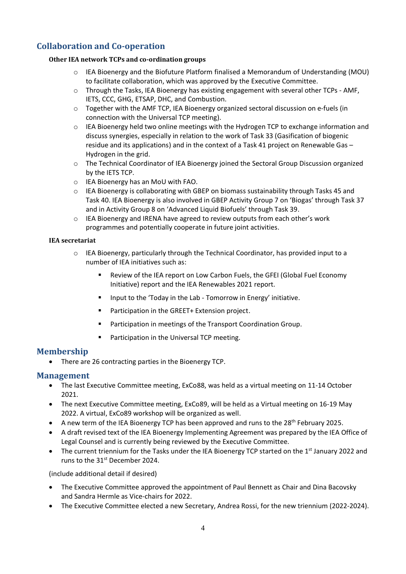# **Collaboration and Co-operation**

#### **Other IEA network TCPs and co-ordination groups**

- $\circ$  IEA Bioenergy and the Biofuture Platform finalised a Memorandum of Understanding (MOU) to facilitate collaboration, which was approved by the Executive Committee.
- o Through the Tasks, IEA Bioenergy has existing engagement with several other TCPs AMF, IETS, CCC, GHG, ETSAP, DHC, and Combustion.
- $\circ$  Together with the AMF TCP, IEA Bioenergy organized sectoral discussion on e-fuels (in connection with the Universal TCP meeting).
- o IEA Bioenergy held two online meetings with the Hydrogen TCP to exchange information and discuss synergies, especially in relation to the work of Task 33 (Gasification of biogenic residue and its applications) and in the context of a Task 41 project on Renewable Gas – Hydrogen in the grid.
- o The Technical Coordinator of IEA Bioenergy joined the Sectoral Group Discussion organized by the IETS TCP.
- o IEA Bioenergy has an MoU with FAO.
- $\circ$  IEA Bioenergy is collaborating with GBEP on biomass sustainability through Tasks 45 and Task 40. IEA Bioenergy is also involved in GBEP Activity Group 7 on 'Biogas' through Task 37 and in Activity Group 8 on 'Advanced Liquid Biofuels' through Task 39.
- o IEA Bioenergy and IRENA have agreed to review outputs from each other's work programmes and potentially cooperate in future joint activities.

#### **IEA secretariat**

- o IEA Bioenergy, particularly through the Technical Coordinator, has provided input to a number of IEA initiatives such as:
	- Review of the IEA report on Low Carbon Fuels, the GFEI (Global Fuel Economy Initiative) report and the IEA Renewables 2021 report.
	- Input to the 'Today in the Lab Tomorrow in Energy' initiative.
	- Participation in the GREET+ Extension project.
	- Participation in meetings of the Transport Coordination Group.
	- Participation in the Universal TCP meeting.

### **Membership**

• There are 26 contracting parties in the Bioenergy TCP.

### **Management**

- The last Executive Committee meeting, ExCo88, was held as a virtual meeting on 11-14 October 2021.
- The next Executive Committee meeting, ExCo89, will be held as a Virtual meeting on 16-19 May 2022. A virtual, ExCo89 workshop will be organized as well.
- A new term of the IEA Bioenergy TCP has been approved and runs to the 28<sup>th</sup> February 2025.
- A draft revised text of the IEA Bioenergy Implementing Agreement was prepared by the IEA Office of Legal Counsel and is currently being reviewed by the Executive Committee.
- The current triennium for the Tasks under the IEA Bioenergy TCP started on the 1<sup>st</sup> January 2022 and runs to the 31<sup>st</sup> December 2024.

(include additional detail if desired)

- The Executive Committee approved the appointment of Paul Bennett as Chair and Dina Bacovsky and Sandra Hermle as Vice-chairs for 2022.
- The Executive Committee elected a new Secretary, Andrea Rossi, for the new triennium (2022-2024).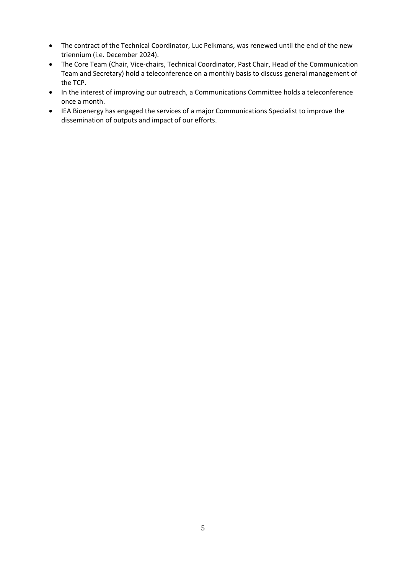- The contract of the Technical Coordinator, Luc Pelkmans, was renewed until the end of the new triennium (i.e. December 2024).
- The Core Team (Chair, Vice-chairs, Technical Coordinator, Past Chair, Head of the Communication Team and Secretary) hold a teleconference on a monthly basis to discuss general management of the TCP.
- In the interest of improving our outreach, a Communications Committee holds a teleconference once a month.
- IEA Bioenergy has engaged the services of a major Communications Specialist to improve the dissemination of outputs and impact of our efforts.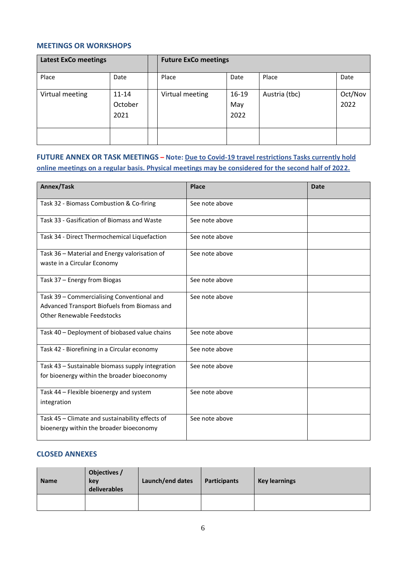#### **MEETINGS OR WORKSHOPS**

| <b>Latest ExCo meetings</b> |                              | <b>Future ExCo meetings</b> |                          |               |                 |
|-----------------------------|------------------------------|-----------------------------|--------------------------|---------------|-----------------|
| Place                       | Date                         | Place                       | Date                     | Place         | Date            |
| Virtual meeting             | $11 - 14$<br>October<br>2021 | Virtual meeting             | $16 - 19$<br>May<br>2022 | Austria (tbc) | Oct/Nov<br>2022 |
|                             |                              |                             |                          |               |                 |

## **FUTURE ANNEX OR TASK MEETINGS – Note: Due to Covid-19 travel restrictions Tasks currently hold online meetings on a regular basis. Physical meetings may be considered for the second half of 2022.**

| Annex/Task                                       | Place          | <b>Date</b> |
|--------------------------------------------------|----------------|-------------|
| Task 32 - Biomass Combustion & Co-firing         | See note above |             |
| Task 33 - Gasification of Biomass and Waste      | See note above |             |
| Task 34 - Direct Thermochemical Liquefaction     | See note above |             |
| Task 36 - Material and Energy valorisation of    | See note above |             |
| waste in a Circular Economy                      |                |             |
| Task 37 - Energy from Biogas                     | See note above |             |
| Task 39 - Commercialising Conventional and       | See note above |             |
| Advanced Transport Biofuels from Biomass and     |                |             |
| <b>Other Renewable Feedstocks</b>                |                |             |
| Task 40 - Deployment of biobased value chains    | See note above |             |
| Task 42 - Biorefining in a Circular economy      | See note above |             |
| Task 43 - Sustainable biomass supply integration | See note above |             |
| for bioenergy within the broader bioeconomy      |                |             |
| Task 44 - Flexible bioenergy and system          | See note above |             |
| integration                                      |                |             |
| Task 45 - Climate and sustainability effects of  | See note above |             |
| bioenergy within the broader bioeconomy          |                |             |

### **CLOSED ANNEXES**

| <b>Name</b> | Objectives /<br>key<br>deliverables | Launch/end dates | Participants | <b>Key learnings</b> |
|-------------|-------------------------------------|------------------|--------------|----------------------|
|             |                                     |                  |              |                      |